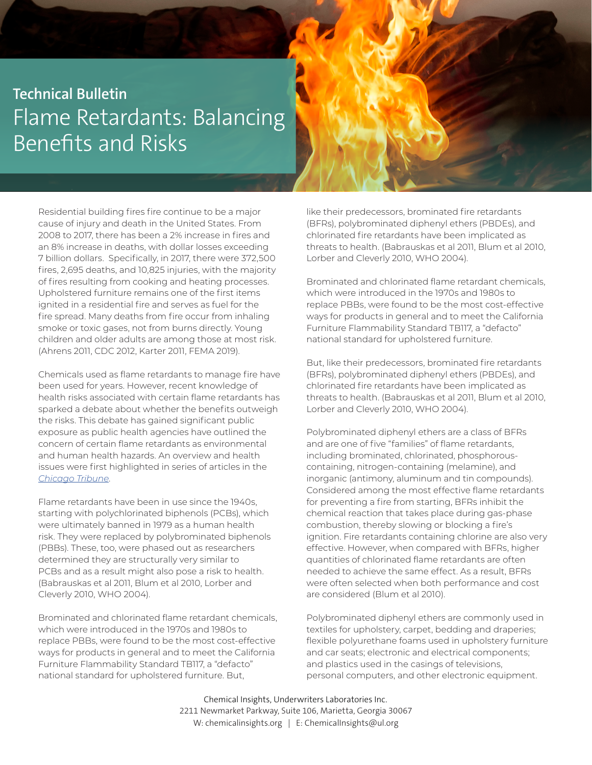## **Technical Bulletin** Flame Retardants: Balancing Benefits and Risks

Residential building fires fire continue to be a major cause of injury and death in the United States. From 2008 to 2017, there has been a 2% increase in fires and an 8% increase in deaths, with dollar losses exceeding 7 billion dollars. Specifically, in 2017, there were 372,500 fires, 2,695 deaths, and 10,825 injuries, with the majority of fires resulting from cooking and heating processes. Upholstered furniture remains one of the first items ignited in a residential fire and serves as fuel for the fire spread. Many deaths from fire occur from inhaling smoke or toxic gases, not from burns directly. Young children and older adults are among those at most risk. (Ahrens 2011, CDC 2012, Karter 2011, FEMA 2019).

Chemicals used as flame retardants to manage fire have been used for years. However, recent knowledge of health risks associated with certain flame retardants has sparked a debate about whether the benefits outweigh the risks. This debate has gained significant public exposure as public health agencies have outlined the concern of certain flame retardants as environmental and human health hazards. An overview and health issues were first highlighted in series of articles in the *Chicago Tribune*.

Flame retardants have been in use since the 1940s, starting with polychlorinated biphenols (PCBs), which were ultimately banned in 1979 as a human health risk. They were replaced by polybrominated biphenols (PBBs). These, too, were phased out as researchers determined they are structurally very similar to PCBs and as a result might also pose a risk to health. (Babrauskas et al 2011, Blum et al 2010, Lorber and Cleverly 2010, WHO 2004).

Brominated and chlorinated flame retardant chemicals, which were introduced in the 1970s and 1980s to replace PBBs, were found to be the most cost-effective ways for products in general and to meet the California Furniture Flammability Standard TB117, a "defacto" national standard for upholstered furniture. But,

like their predecessors, brominated fire retardants (BFRs), polybrominated diphenyl ethers (PBDEs), and chlorinated fire retardants have been implicated as threats to health. (Babrauskas et al 2011, Blum et al 2010, Lorber and Cleverly 2010, WHO 2004).

Brominated and chlorinated flame retardant chemicals, which were introduced in the 1970s and 1980s to replace PBBs, were found to be the most cost-effective ways for products in general and to meet the California Furniture Flammability Standard TB117, a "defacto" national standard for upholstered furniture.

But, like their predecessors, brominated fire retardants (BFRs), polybrominated diphenyl ethers (PBDEs), and chlorinated fire retardants have been implicated as threats to health. (Babrauskas et al 2011, Blum et al 2010, Lorber and Cleverly 2010, WHO 2004).

Polybrominated diphenyl ethers are a class of BFRs and are one of five "families" of flame retardants, including brominated, chlorinated, phosphorouscontaining, nitrogen-containing (melamine), and inorganic (antimony, aluminum and tin compounds). Considered among the most effective flame retardants for preventing a fire from starting, BFRs inhibit the chemical reaction that takes place during gas-phase combustion, thereby slowing or blocking a fire's ignition. Fire retardants containing chlorine are also very effective. However, when compared with BFRs, higher quantities of chlorinated flame retardants are often needed to achieve the same effect. As a result, BFRs were often selected when both performance and cost are considered (Blum et al 2010).

Polybrominated diphenyl ethers are commonly used in textiles for upholstery, carpet, bedding and draperies; flexible polyurethane foams used in upholstery furniture and car seats; electronic and electrical components; and plastics used in the casings of televisions, personal computers, and other electronic equipment.

 Chemical Insights, Underwriters Laboratories Inc. 2211 Newmarket Parkway, Suite 106, Marietta, Georgia 30067 W: chemicalinsights.org | E: ChemicalInsights@ul.org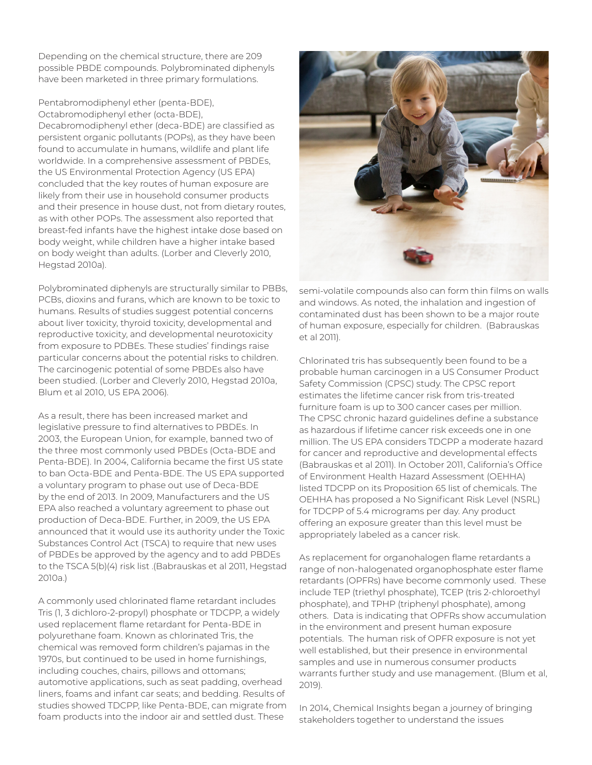Depending on the chemical structure, there are 209 possible PBDE compounds. Polybrominated diphenyls have been marketed in three primary formulations.

Pentabromodiphenyl ether (penta-BDE), Octabromodiphenyl ether (octa-BDE), Decabromodiphenyl ether (deca-BDE) are classified as persistent organic pollutants (POPs), as they have been found to accumulate in humans, wildlife and plant life worldwide. In a comprehensive assessment of PBDEs, the US Environmental Protection Agency (US EPA) concluded that the key routes of human exposure are likely from their use in household consumer products and their presence in house dust, not from dietary routes, as with other POPs. The assessment also reported that breast-fed infants have the highest intake dose based on body weight, while children have a higher intake based on body weight than adults. (Lorber and Cleverly 2010, Hegstad 2010a).

Polybrominated diphenyls are structurally similar to PBBs, PCBs, dioxins and furans, which are known to be toxic to humans. Results of studies suggest potential concerns about liver toxicity, thyroid toxicity, developmental and reproductive toxicity, and developmental neurotoxicity from exposure to PDBEs. These studies' findings raise particular concerns about the potential risks to children. The carcinogenic potential of some PBDEs also have been studied. (Lorber and Cleverly 2010, Hegstad 2010a, Blum et al 2010, US EPA 2006).

As a result, there has been increased market and legislative pressure to find alternatives to PBDEs. In 2003, the European Union, for example, banned two of the three most commonly used PBDEs (Octa-BDE and Penta-BDE). In 2004, California became the first US state to ban Octa-BDE and Penta-BDE. The US EPA supported a voluntary program to phase out use of Deca-BDE by the end of 2013. In 2009, Manufacturers and the US EPA also reached a voluntary agreement to phase out production of Deca-BDE. Further, in 2009, the US EPA announced that it would use its authority under the Toxic Substances Control Act (TSCA) to require that new uses of PBDEs be approved by the agency and to add PBDEs to the TSCA 5(b)(4) risk list .(Babrauskas et al 2011, Hegstad 2010a.)

A commonly used chlorinated flame retardant includes Tris (1, 3 dichloro-2-propyl) phosphate or TDCPP, a widely used replacement flame retardant for Penta-BDE in polyurethane foam. Known as chlorinated Tris, the chemical was removed form children's pajamas in the 1970s, but continued to be used in home furnishings, including couches, chairs, pillows and ottomans; automotive applications, such as seat padding, overhead liners, foams and infant car seats; and bedding. Results of studies showed TDCPP, like Penta-BDE, can migrate from foam products into the indoor air and settled dust. These



semi-volatile compounds also can form thin films on walls and windows. As noted, the inhalation and ingestion of contaminated dust has been shown to be a major route of human exposure, especially for children. (Babrauskas et al 2011).

Chlorinated tris has subsequently been found to be a probable human carcinogen in a US Consumer Product Safety Commission (CPSC) study. The CPSC report estimates the lifetime cancer risk from tris-treated furniture foam is up to 300 cancer cases per million. The CPSC chronic hazard guidelines define a substance as hazardous if lifetime cancer risk exceeds one in one million. The US EPA considers TDCPP a moderate hazard for cancer and reproductive and developmental effects (Babrauskas et al 2011). In October 2011, California's Office of Environment Health Hazard Assessment (OEHHA) listed TDCPP on its Proposition 65 list of chemicals. The OEHHA has proposed a No Significant Risk Level (NSRL) for TDCPP of 5.4 micrograms per day. Any product offering an exposure greater than this level must be appropriately labeled as a cancer risk.

As replacement for organohalogen flame retardants a range of non-halogenated organophosphate ester flame retardants (OPFRs) have become commonly used. These include TEP (triethyl phosphate), TCEP (tris 2-chloroethyl phosphate), and TPHP (triphenyl phosphate), among others. Data is indicating that OPFRs show accumulation in the environment and present human exposure potentials. The human risk of OPFR exposure is not yet well established, but their presence in environmental samples and use in numerous consumer products warrants further study and use management. (Blum et al, 2019).

In 2014, Chemical Insights began a journey of bringing stakeholders together to understand the issues